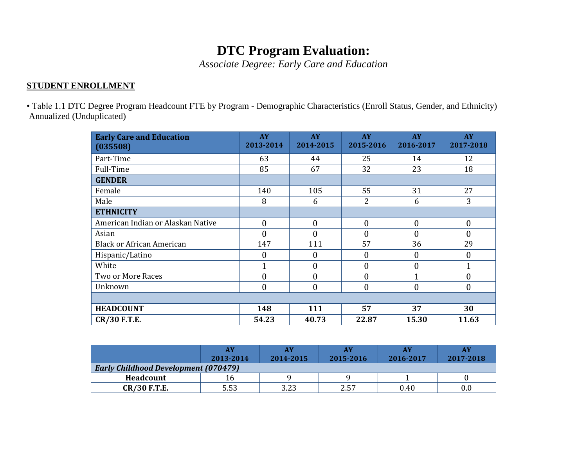# **DTC Program Evaluation:**

*Associate Degree: Early Care and Education* 

### **STUDENT ENROLLMENT**

• Table 1.1 DTC Degree Program Headcount FTE by Program - Demographic Characteristics (Enroll Status, Gender, and Ethnicity) Annualized (Unduplicated)

| <b>Early Care and Education</b><br>(035508) | AY<br>2013-2014  | AY<br>2014-2015 | AY<br>2015-2016 | AY<br>2016-2017  | AY<br>2017-2018  |
|---------------------------------------------|------------------|-----------------|-----------------|------------------|------------------|
| Part-Time                                   | 63               | 44              | 25              | 14               | 12               |
| Full-Time                                   | 85               | 67              | 32              | 23               | 18               |
| <b>GENDER</b>                               |                  |                 |                 |                  |                  |
| Female                                      | 140              | 105             | 55              | 31               | 27               |
| Male                                        | 8                | 6               | 2               | 6                | 3                |
| <b>ETHNICITY</b>                            |                  |                 |                 |                  |                  |
| American Indian or Alaskan Native           | $\boldsymbol{0}$ | $\theta$        | $\overline{0}$  | $\boldsymbol{0}$ | $\boldsymbol{0}$ |
| Asian                                       | $\mathbf{0}$     | $\theta$        | $\theta$        | $\mathbf{0}$     | $\overline{0}$   |
| <b>Black or African American</b>            | 147              | 111             | 57              | 36               | 29               |
| Hispanic/Latino                             | $\boldsymbol{0}$ | $\theta$        | $\mathbf{0}$    | $\boldsymbol{0}$ | $\overline{0}$   |
| White                                       |                  | $\theta$        | $\mathbf{0}$    | $\mathbf{0}$     | 1                |
| Two or More Races                           | $\overline{0}$   | $\theta$        | $\mathbf{0}$    | $\mathbf{1}$     | $\mathbf{0}$     |
| Unknown                                     | $\boldsymbol{0}$ | $\theta$        | $\theta$        | $\mathbf{0}$     | $\mathbf{0}$     |
|                                             |                  |                 |                 |                  |                  |
| <b>HEADCOUNT</b>                            | 148              | 111             | 57              | 37               | 30               |
| CR/30 F.T.E.                                | 54.23            | 40.73           | 22.87           | 15.30            | 11.63            |

|                                             | <b>AY</b><br>2013-2014 | 2014-2015 | AY<br>2015-2016 | AY<br>2016-2017 | AY<br>2017-2018 |  |  |  |  |
|---------------------------------------------|------------------------|-----------|-----------------|-----------------|-----------------|--|--|--|--|
| <b>Early Childhood Development (070479)</b> |                        |           |                 |                 |                 |  |  |  |  |
| Headcount                                   | 16                     |           |                 |                 |                 |  |  |  |  |
| <b>CR/30 F.T.E.</b>                         | 5.53                   | 3.23      | 2.57            | 0.40            | $0.0\,$         |  |  |  |  |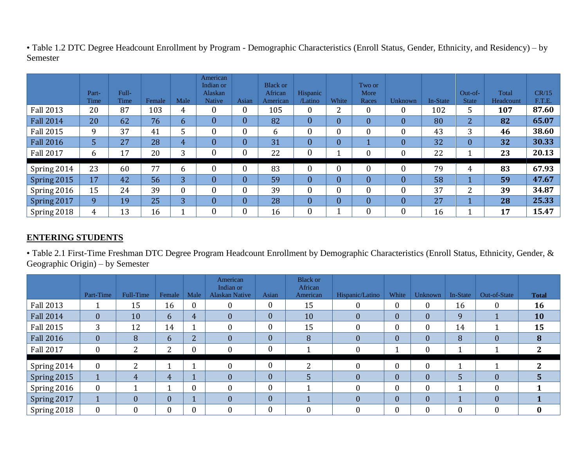• Table 1.2 DTC Degree Headcount Enrollment by Program - Demographic Characteristics (Enroll Status, Gender, Ethnicity, and Residency) – by Semester

|                  | Part- | Full- |        |                  | American<br>Indian or<br><b>Alaskan</b> |                | <b>Black or</b><br>African | Hispanic       |                | Two or<br>More |              |          | $Out-of-$      | Total     | CR/15  |
|------------------|-------|-------|--------|------------------|-----------------------------------------|----------------|----------------------------|----------------|----------------|----------------|--------------|----------|----------------|-----------|--------|
|                  | Time  | Time  | Female | Male             | <b>Native</b>                           | Asian          | American                   | /Latino        | White          | Races          | Unknown      | In-State | <b>State</b>   | Headcount | F.T.E. |
| <b>Fall 2013</b> | 20    | 87    | 103    | 4                | $\overline{0}$                          | $\overline{0}$ | 105                        | $\bf{0}$       | $\overline{2}$ | 0              |              | 102      | 5              | 107       | 87.60  |
| <b>Fall 2014</b> | 20    | 62    | 76     | 6                | $\overline{0}$                          | $\overline{0}$ | 82                         | $\overline{0}$ | $\overline{0}$ | $\mathbf{0}$   | $\mathbf{0}$ | 80       | 2 <sup>1</sup> | 82        | 65.07  |
| <b>Fall 2015</b> | 9     | 37    | 41     | 5                | $\overline{0}$                          | $\overline{0}$ | 6                          | $\overline{0}$ |                | 0              | $\Omega$     | 43       | 3              | 46        | 38.60  |
| <b>Fall 2016</b> | 5     | 27    | 28     | 4                | $\overline{0}$                          | $\overline{0}$ | 31                         | $\Omega$       | $\overline{0}$ |                |              | 32       | $\mathbf{0}$   | 32        | 30.33  |
| <b>Fall 2017</b> | 6     | 17    | 20     | 3                | $\overline{0}$                          | $\overline{0}$ | 22                         | $\theta$       |                | 0              |              | 22       |                | 23        | 20.13  |
| Spring 2014      | 23    | 60    | 77     | 6                | $\overline{0}$                          | $\overline{0}$ | 83                         | $\overline{0}$ |                | $\overline{0}$ |              | 79       | 4              | 83        | 67.93  |
| Spring 2015      | 17    | 42    | 56     | 3 <sup>1</sup>   | $\overline{0}$                          | $\Omega$       | 59                         | $\Omega$       | $\Omega$       | $\overline{0}$ | $\theta$     | 58       |                | 59        | 47.67  |
| Spring 2016      | 15    | 24    | 39     | $\boldsymbol{0}$ | $\theta$                                | $\overline{0}$ | 39                         | $\theta$       |                | $\overline{0}$ |              | 37       | 2              | 39        | 34.87  |
| Spring 2017      | 9     | 19    | 25     | $\overline{3}$   | $\overline{0}$                          | $\Omega$       | 28                         | $\overline{0}$ |                | $\overline{0}$ | $\Omega$     | 27       |                | 28        | 25.33  |
| Spring 2018      | 4     | 13    | 16     |                  | $\overline{0}$                          | $\theta$       | 16                         | $\overline{0}$ |                | $\overline{0}$ |              | 16       |                | 17        | 15.47  |

## **ENTERING STUDENTS**

• Table 2.1 First‐Time Freshman DTC Degree Program Headcount Enrollment by Demographic Characteristics (Enroll Status, Ethnicity, Gender, & Geographic Origin) – by Semester

|                  | Part-Time        | Full-Time    | Female         | Male     | American<br>Indian or<br><b>Alaskan Native</b> | Asian            | <b>Black or</b><br>African<br>American | Hispanic/Latino | White          | Unknown        | In-State | Out-of-State     | <b>Total</b>   |
|------------------|------------------|--------------|----------------|----------|------------------------------------------------|------------------|----------------------------------------|-----------------|----------------|----------------|----------|------------------|----------------|
| <b>Fall 2013</b> |                  | 15           | 16             | $\theta$ | $\mathbf{0}$                                   | 0                | 15                                     | $\theta$        | $\theta$       | $\mathbf{0}$   | 16       | $\boldsymbol{0}$ | 16             |
| <b>Fall 2014</b> | $\Omega$         | 10           | 6              | 4        | $\theta$                                       | $\boldsymbol{0}$ | 10                                     | $\mathbf{0}$    | $\overline{0}$ | $\overline{0}$ | 9        |                  | 10             |
| <b>Fall 2015</b> | 3                | 12           | 14             |          | $\Omega$                                       | $\boldsymbol{0}$ | 15                                     | $\theta$        | $\mathbf{0}$   | 0              | 14       |                  | 15             |
| <b>Fall 2016</b> | $\Omega$         | 8            | b.             | ົາ<br>Z  | $\Omega$                                       | $\boldsymbol{0}$ | 8                                      | $\mathbf{0}$    | $\overline{0}$ | $\overline{0}$ | 8        | $\mathbf{0}$     | 8              |
| <b>Fall 2017</b> | 0                | 2            | C.<br><u>L</u> | 0        | 0                                              | $\boldsymbol{0}$ |                                        | $\theta$        | и              | 0              |          |                  | 2 <sup>1</sup> |
| Spring 2014      | $\theta$         | 2            |                |          | $\theta$                                       | $\boldsymbol{0}$ | 2                                      | $\theta$        | $\mathbf{0}$   | $\mathbf{0}$   |          |                  | $\mathbf{2}$   |
| Spring 2015      |                  | 4            | 4              |          | $\Omega$                                       | $\overline{0}$   | 5                                      | $\mathbf{0}$    | $\overline{0}$ | $\overline{0}$ | 5        | $\mathbf{0}$     | 5              |
| Spring 2016      | $\boldsymbol{0}$ |              |                | $\Omega$ | $\Omega$                                       | 0                |                                        | $\Omega$        | $\mathbf{0}$   | $\mathbf{0}$   |          | $\mathbf{0}$     |                |
| Spring 2017      |                  | $\Omega$     | $\Omega$       |          | $\Omega$                                       | $\boldsymbol{0}$ |                                        | $\Omega$        | $\Omega$       | $\overline{0}$ |          | $\Omega$         |                |
| Spring 2018      | $\mathbf{0}$     | $\mathbf{0}$ | 0              | 0        | $\boldsymbol{0}$                               | 0                | 0                                      | $\theta$        | 0              | $\mathbf{0}$   | $\theta$ | $\boldsymbol{0}$ | $\bf{0}$       |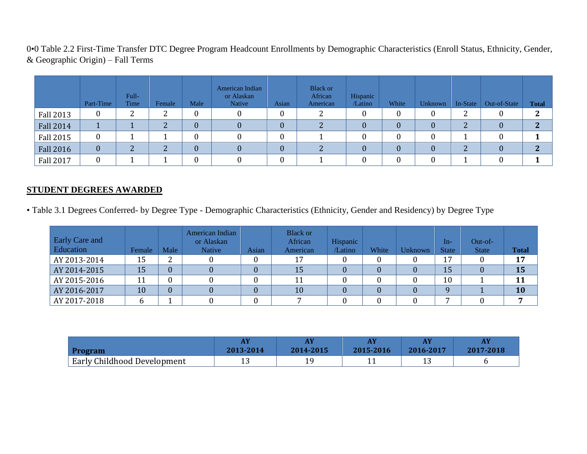0•0 Table 2.2 First‐Time Transfer DTC Degree Program Headcount Enrollments by Demographic Characteristics (Enroll Status, Ethnicity, Gender, & Geographic Origin) – Fall Terms

|                  | Part-Time | Full-<br><b>Time</b> | Female | Male     | American Indian<br>or Alaskan<br><b>Native</b> | Asian | <b>Black or</b><br>African<br>American | Hispanic<br>/Latino | White    | Unknown | In-State | Out-of-State | <b>Total</b> |
|------------------|-----------|----------------------|--------|----------|------------------------------------------------|-------|----------------------------------------|---------------------|----------|---------|----------|--------------|--------------|
| <b>Fall 2013</b> | 0         | C.<br>▵              | ി<br>∼ | 0        | $\theta$                                       | 0     |                                        | $\boldsymbol{0}$    | 0        |         | າ<br>▵   | U            | ി            |
| <b>Fall 2014</b> |           |                      |        | $\left($ | $\theta$                                       |       |                                        | $\theta$            |          |         | n<br>Z   |              | n            |
| <b>Fall 2015</b> | $\theta$  |                      |        | 0        |                                                | 0     |                                        | $\boldsymbol{0}$    | $\theta$ |         |          |              |              |
| <b>Fall 2016</b> | 0         | ∩<br>∠               |        |          | $\theta$                                       |       |                                        | $\theta$            |          |         | າ<br>∠   |              | റ            |
| <b>Fall 2017</b> |           |                      |        | 0        |                                                |       |                                        | $\theta$            |          |         |          |              |              |

#### **STUDENT DEGREES AWARDED**

• Table 3.1 Degrees Conferred- by Degree Type - Demographic Characteristics (Ethnicity, Gender and Residency) by Degree Type

| Early Care and<br>Education | Female | Male             | American Indian<br>or Alaskan<br><b>Native</b> | Asian | <b>Black or</b><br>African<br>American | Hispanic<br>/Latino | White | Unknown | In-<br><b>State</b> | $Out-of-$<br><b>State</b> | <b>Total</b> |
|-----------------------------|--------|------------------|------------------------------------------------|-------|----------------------------------------|---------------------|-------|---------|---------------------|---------------------------|--------------|
| AY 2013-2014                | 15     | ົ<br>▵           |                                                |       | 17                                     |                     |       |         | 17                  |                           | 17           |
| AY 2014-2015                | 15     | $\boldsymbol{0}$ |                                                |       | 15                                     |                     |       |         | 15                  |                           | 15           |
| AY 2015-2016                | 11     | $\Omega$         |                                                |       | 11                                     |                     |       |         | 10                  |                           | 11           |
| AY 2016-2017                | 10     | $\mathbf{0}$     |                                                |       | 10                                     |                     |       |         | $\Omega$            |                           | 10           |
| AY 2017-2018                |        |                  |                                                |       |                                        |                     |       |         | $\overline{ }$      |                           |              |

| <b>Program</b>              | л.<br>2013-2014 | AY<br>2014-2015 | AY<br>2015-2016 | 2016-2017         | m.<br>2017-2018 |
|-----------------------------|-----------------|-----------------|-----------------|-------------------|-----------------|
| Early Childhood Development | ∸               | 1 q             | . .             | $1^{\circ}$<br>ᆂᇦ |                 |